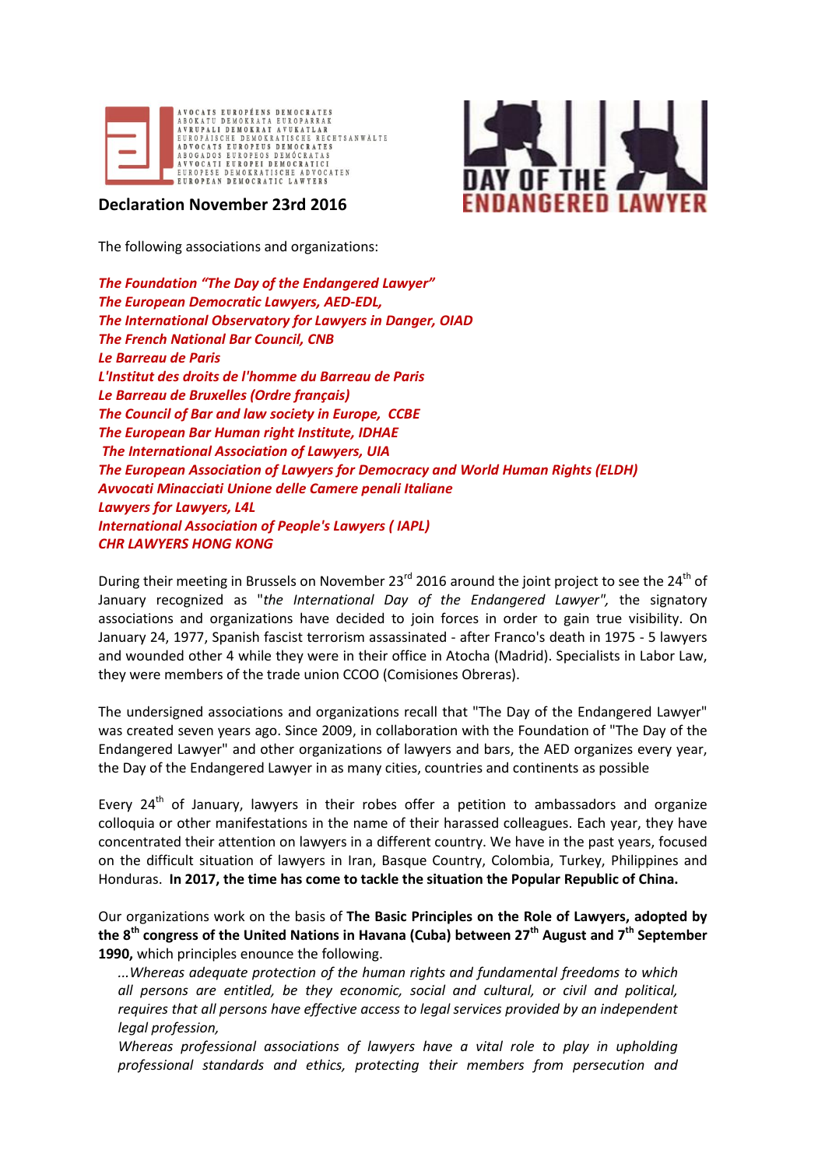



**Declaration November 23rd 2016** 

The following associations and organizations:

*The Foundation "The Day of the Endangered Lawyer" The European Democratic Lawyers, AED-EDL, The International Observatory for Lawyers in Danger, OIAD The French National Bar Council, CNB Le Barreau de Paris L'Institut des droits de l'homme du Barreau de Paris Le Barreau de Bruxelles (Ordre français) The Council of Bar and law society in Europe, CCBE The European Bar Human right Institute, IDHAE The International Association of Lawyers, UIA The European Association of Lawyers for Democracy and World Human Rights (ELDH) Avvocati Minacciati Unione delle Camere penali Italiane Lawyers for Lawyers, L4L International Association of People's Lawyers ( IAPL) CHR LAWYERS HONG KONG*

During their meeting in Brussels on November 23 $^{rd}$  2016 around the joint project to see the 24<sup>th</sup> of January recognized as "*the International Day of the Endangered Lawyer",* the signatory associations and organizations have decided to join forces in order to gain true visibility. On January 24, 1977, Spanish fascist terrorism assassinated - after Franco's death in 1975 - 5 lawyers and wounded other 4 while they were in their office in Atocha (Madrid). Specialists in Labor Law, they were members of the trade union CCOO (Comisiones Obreras).

The undersigned associations and organizations recall that "The Day of the Endangered Lawyer" was created seven years ago. Since 2009, in collaboration with the Foundation of "The Day of the Endangered Lawyer" and other organizations of lawyers and bars, the AED organizes every year, the Day of the Endangered Lawyer in as many cities, countries and continents as possible

Every  $24<sup>th</sup>$  of January, lawyers in their robes offer a petition to ambassadors and organize colloquia or other manifestations in the name of their harassed colleagues. Each year, they have concentrated their attention on lawyers in a different country. We have in the past years, focused on the difficult situation of lawyers in Iran, Basque Country, Colombia, Turkey, Philippines and Honduras. **In 2017, the time has come to tackle the situation the Popular Republic of China.**

Our organizations work on the basis of **The Basic Principles on the Role of Lawyers, adopted by** the 8<sup>th</sup> congress of the United Nations in Havana (Cuba) between 27<sup>th</sup> August and 7<sup>th</sup> September **1990,** which principles enounce the following.

*...Whereas adequate protection of the human rights and fundamental freedoms to which all persons are entitled, be they economic, social and cultural, or civil and political, requires that all persons have effective access to legal services provided by an independent legal profession,*

*Whereas professional associations of lawyers have a vital role to play in upholding professional standards and ethics, protecting their members from persecution and*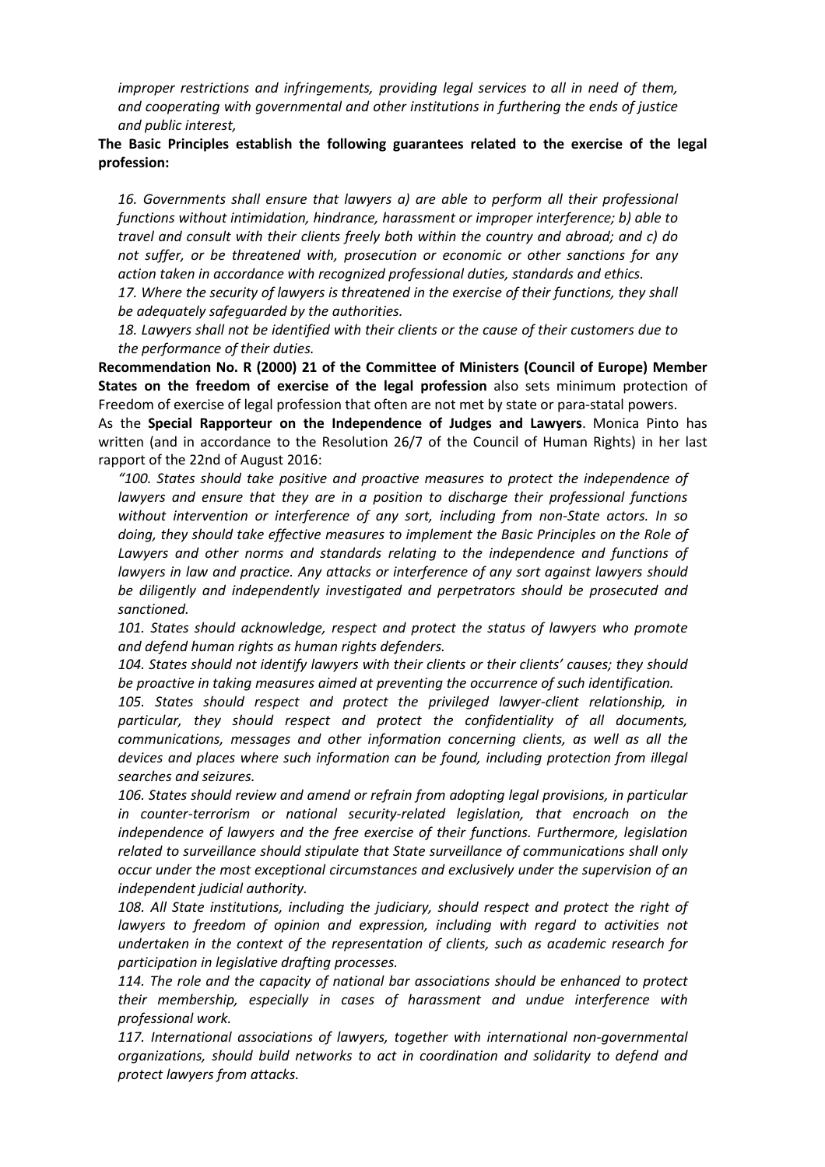*improper restrictions and infringements, providing legal services to all in need of them, and cooperating with governmental and other institutions in furthering the ends of justice and public interest,*

## **The Basic Principles establish the following guarantees related to the exercise of the legal profession:**

*16. Governments shall ensure that lawyers a) are able to perform all their professional functions without intimidation, hindrance, harassment or improper interference; b) able to travel and consult with their clients freely both within the country and abroad; and c) do not suffer, or be threatened with, prosecution or economic or other sanctions for any action taken in accordance with recognized professional duties, standards and ethics.*

*17. Where the security of lawyers is threatened in the exercise of their functions, they shall be adequately safeguarded by the authorities.*

*18. Lawyers shall not be identified with their clients or the cause of their customers due to the performance of their duties.*

**Recommendation No. R (2000) 21 of the Committee of Ministers (Council of Europe) Member States on the freedom of exercise of the legal profession** also sets minimum protection of Freedom of exercise of legal profession that often are not met by state or para-statal powers.

As the **Special Rapporteur on the Independence of Judges and Lawyers**. Monica Pinto has written (and in accordance to the Resolution 26/7 of the Council of Human Rights) in her last rapport of the 22nd of August 2016:

*"100. States should take positive and proactive measures to protect the independence of lawyers and ensure that they are in a position to discharge their professional functions without intervention or interference of any sort, including from non-State actors. In so doing, they should take effective measures to implement the Basic Principles on the Role of Lawyers and other norms and standards relating to the independence and functions of lawyers in law and practice. Any attacks or interference of any sort against lawyers should be diligently and independently investigated and perpetrators should be prosecuted and sanctioned.*

*101. States should acknowledge, respect and protect the status of lawyers who promote and defend human rights as human rights defenders.*

*104. States should not identify lawyers with their clients or their clients' causes; they should be proactive in taking measures aimed at preventing the occurrence of such identification.*

*105. States should respect and protect the privileged lawyer-client relationship, in particular, they should respect and protect the confidentiality of all documents, communications, messages and other information concerning clients, as well as all the devices and places where such information can be found, including protection from illegal searches and seizures.*

*106. States should review and amend or refrain from adopting legal provisions, in particular in counter-terrorism or national security-related legislation, that encroach on the independence of lawyers and the free exercise of their functions. Furthermore, legislation related to surveillance should stipulate that State surveillance of communications shall only occur under the most exceptional circumstances and exclusively under the supervision of an independent judicial authority.*

*108. All State institutions, including the judiciary, should respect and protect the right of lawyers to freedom of opinion and expression, including with regard to activities not undertaken in the context of the representation of clients, such as academic research for participation in legislative drafting processes.*

*114. The role and the capacity of national bar associations should be enhanced to protect their membership, especially in cases of harassment and undue interference with professional work.* 

*117. International associations of lawyers, together with international non-governmental organizations, should build networks to act in coordination and solidarity to defend and protect lawyers from attacks.*